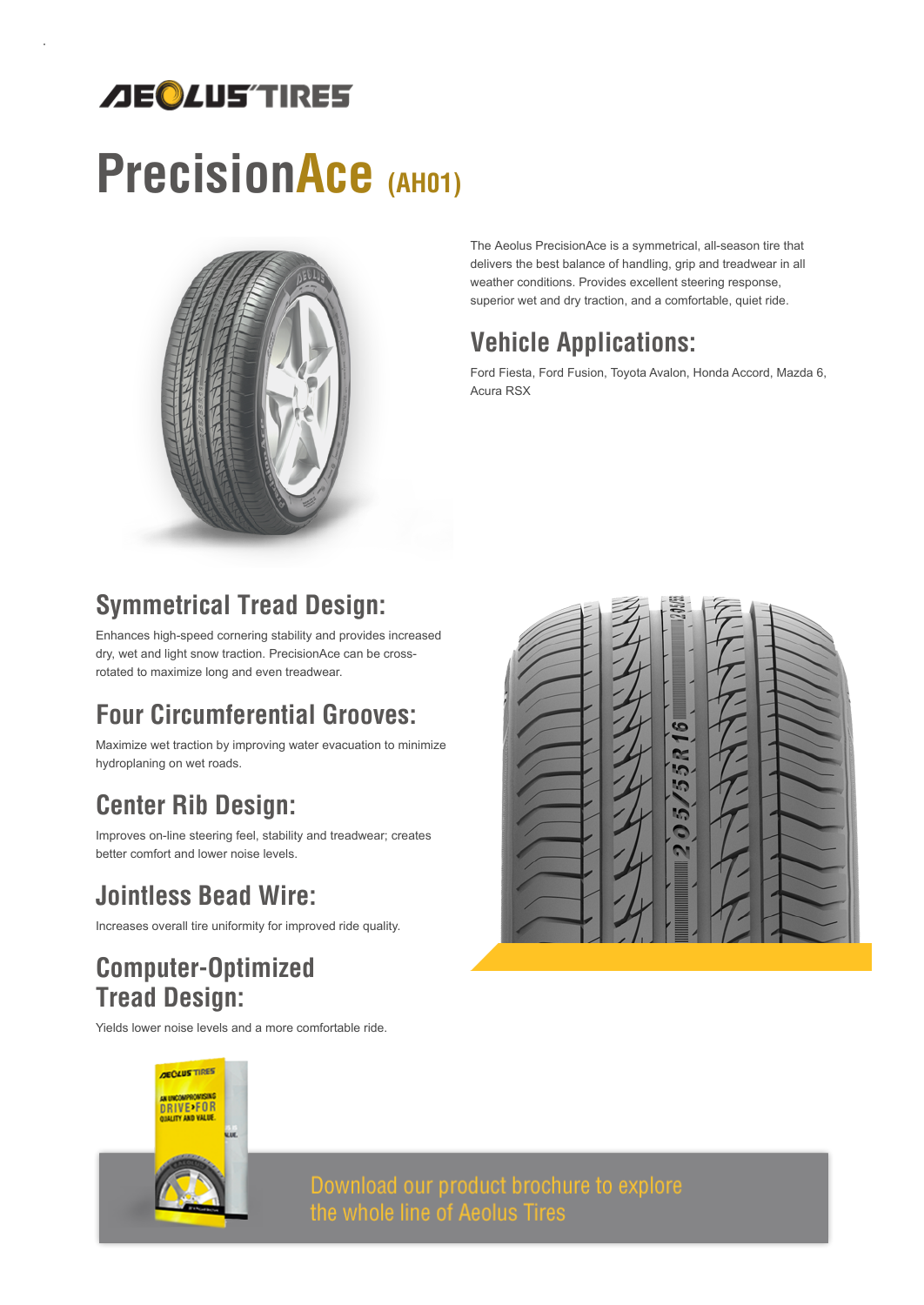## *AEQLUS'TIRES*

# PrecisionAce (AH01)



The Aeolus PrecisionAce is a symmetrical, all-season tire that delivers the best balance of handling, grip and treadwear in all weather conditions. Provides excellent steering response, superior wet and dry traction, and a comfortable, quiet ride.

#### Vehicle Applications:

Ford Fiesta, Ford Fusion, Toyota Avalon, Honda Accord, Mazda 6, Acura RSX

## Symmetrical Tread Design:

Enhances high-speed cornering stability and provides increased dry, wet and light snow traction. PrecisionAce can be crossrotated to maximize long and even treadwear.

## Four Circumferential Grooves:

Maximize wet traction by improving water evacuation to minimize hydroplaning on wet roads.

### Center Rib Design:

Improves on-line steering feel, stability and treadwear; creates better comfort and lower noise levels.

#### Jointless Bead Wire:

Increases overall tire uniformity for improved ride quality.

#### Computer-Optimized Tread Design:

Yields lower noise levels and a more comfortable ride.





Download our product brochure to explore<br>the whole line of Aeolus Tires